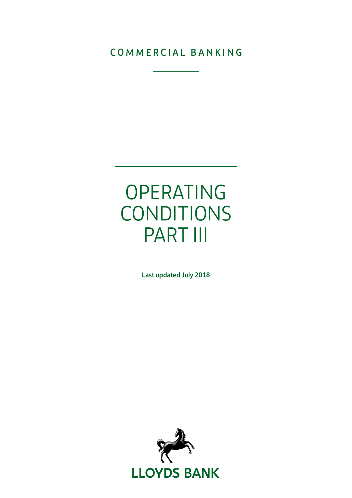### COMMERCIAL BANKING

# OPERATING CONDITIONS PART III

Last updated July 2018

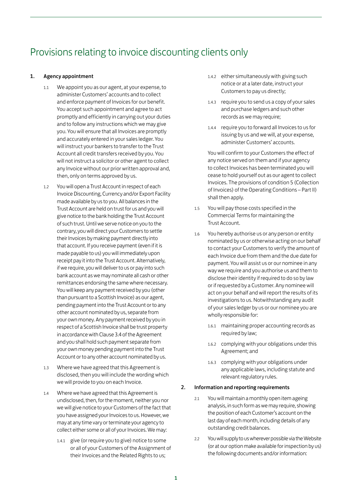## Provisions relating to invoice discounting clients only

#### 1. Agency appointment

- 1.1 We appoint you as our agent, at your expense, to administer Customers' accounts and to collect and enforce payment of Invoices for our benefit. You accept such appointment and agree to act promptly and efficiently in carrying out your duties and to follow any instructions which we may give you. You will ensure that all Invoices are promptly and accurately entered in your sales ledger. You will instruct your bankers to transfer to the Trust Account all credit transfers received by you. You will not instruct a solicitor or other agent to collect any Invoice without our prior written approval and, then, only on terms approved by us.
- 1.2 You will open a Trust Account in respect of each Invoice Discounting, Currency and/or Export Facility made available by us to you. All balances in the Trust Account are held on trust for us and you will give notice to the bank holding the Trust Account of such trust. Until we serve notice on you to the contrary, you will direct your Customers to settle their Invoices by making payment directly into that account. If you receive payment (even if it is made payable to us) you will immediately upon receipt pay it into the Trust Account. Alternatively, if we require, you will deliver to us or pay into such bank account as we may nominate all cash or other remittances endorsing the same where necessary. You will keep any payment received by you (other than pursuant to a Scottish Invoice) as our agent, pending payment into the Trust Account or to any other account nominated by us, separate from your own money. Any payment received by you in respect of a Scottish Invoice shall be trust property in accordance with Clause 3.4 of the Agreement and you shall hold such payment separate from your own money pending payment into the Trust Account or to any other account nominated by us.
- 1.3 Where we have agreed that this Agreement is disclosed, then you will include the wording which we will provide to you on each Invoice.
- 1.4 Where we have agreed that this Agreement is undisclosed, then, for the moment, neither you nor we will give notice to your Customers of the fact that you have assigned your Invoices to us. However, we may at any time vary or terminate your agency to collect either some or all of your Invoices. We may:
	- 1.4.1 give (or require you to give) notice to some or all of your Customers of the Assignment of their Invoices and the Related Rights to us;
- 1.4.2 either simultaneously with giving such notice or at a later date, instruct your Customers to pay us directly;
- 1.4.3 require you to send us a copy of your sales and purchase ledgers and such other records as we may require;
- 1.4.4 require you to forward all Invoices to us for issuing by us and we will, at your expense, administer Customers' accounts.

You will confirm to your Customers the effect of any notice served on them and if your agency to collect Invoices has been terminated you will cease to hold yourself out as our agent to collect Invoices. The provisions of condition 5 (Collection of Invoices) of the Operating Conditions – Part II) shall then apply.

- 1.5 You will pay those costs specified in the Commercial Terms for maintaining the Trust Account.
- 1.6 You hereby authorise us or any person or entity nominated by us or otherwise acting on our behalf to contact your Customers to verify the amount of each Invoice due from them and the due date for payment. You will assist us or our nominee in any way we require and you authorise us and them to disclose their identity if required to do so by law or if requested by a Customer. Any nominee will act on your behalf and will report the results of its investigations to us. Notwithstanding any audit of your sales ledger by us or our nominee you are wholly responsible for:
	- 1.6.1 maintaining proper accounting records as required by law;
	- 1.6.2 complying with your obligations under this Agreement; and
	- 1.6.3 complying with your obligations under any applicable laws, including statute and relevant regulatory rules.

#### 2. Information and reporting requirements

- 2.1 You will maintain a monthly open item ageing analysis, in such form as we may require, showing the position of each Customer's account on the last day of each month, including details of any outstanding credit balances.
- 2.2 You will supply to us wherever possible via the Website (or at our option make available for inspection by us) the following documents and/or information: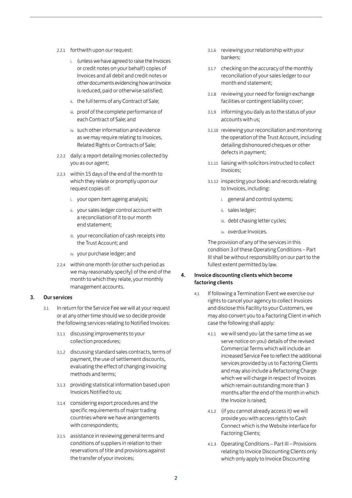- 2.2.1 forthwith upon our request:
	- i. (unless we have agreed to raise the Invoices or credit notes on your behalf) copies of Invoices and all debit and credit notes or other documents evidencing how an Invoice is reduced, paid or otherwise satisfied;
	- ii. the full terms of any Contract of Sale;
	- iii. proof of the complete performance of each Contract of Sale; and
	- iv. such other information and evidence as we may require relating to Invoices, Related Rights or Contracts of Sale;
- 2.2.2 daily: a report detailing monies collected by you as our agent;
- 2.2.3 within 15 days of the end of the month to which they relate or promptly upon our request copies of:
	- i. your open item ageing analysis;
	- ii. your sales ledger control account with a reconciliation of it to our month end statement;
	- iii. your reconciliation of cash receipts into the Trust Account; and
	- iv. your purchase ledger; and
- 2.2.4 within one month (or other such period as we may reasonably specify) of the end of the month to which they relate, your monthly management accounts.

#### 3. Our services

- 3.1 In return for the Service Fee we will at your request or at any other time should we so decide provide the following services relating to Notified Invoices:
	- 3.1.1 discussing improvements to your collection procedures;
	- 3.1.2 discussing standard sales contracts, terms of payment, the use of settlement discounts, evaluating the effect of changing invoicing methods and terms;
	- 3.1.3 providing statistical information based upon Invoices Notified to us;
	- 3.1.4 considering export procedures and the specific requirements of major trading countries where we have arrangements with correspondents;
	- 3.1.5 assistance in reviewing general terms and conditions of suppliers in relation to their reservations of title and provisions against the transfer of your invoices;
- 3.1.6 reviewing your relationship with your bankers;
- 3.1.7 checking on the accuracy of the monthly reconciliation of your sales ledger to our month end statement;
- 3.1.8 reviewing your need for foreign exchange facilities or contingent liability cover;
- 3.1.9 informing you daily as to the status of your accounts with us;
- 3.1.10 reviewing your reconciliation and monitoring the operation of the Trust Account, including detailing dishonoured cheques or other defects in payment;
- 3.1.11 liaising with solicitors instructed to collect Invoices;
- 3.1.12 inspecting your books and records relating to Invoices, including:
	- i. general and control systems;
	- ii. sales ledger;
	- iii. debt chasing letter cycles;
	- iv. overdue Invoices.

The provision of any of the services in this condition 3 of these Operating Conditions – Part III shall be without responsibility on our part to the fullest extent permitted by law.

#### 4. Invoice discounting clients which become factoring clients

- 4.1 If following a Termination Event we exercise our rights to cancel your agency to collect Invoices and disclose this Facility to your Customers, we may also convert you to a Factoring Client in which case the following shall apply:
	- 4.1.1 we will send you (at the same time as we serve notice on you) details of the revised Commercial Terms which will include an increased Service Fee to reflect the additional services provided by us to Factoring Clients and may also include a Refactoring Charge which we will charge in respect of Invoices which remain outstanding more than 3 months after the end of the month in which the Invoice is raised;
	- 4.1.2 (if you cannot already access it) we will provide you with access rights to Cash Connect which is the Website interface for Factoring Clients;
	- 4.1.3 Operating Conditions Part III Provisions relating to Invoice Discounting Clients only which only apply to Invoice Discounting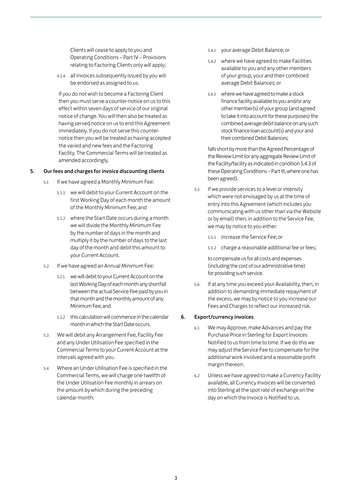Clients will cease to apply to you and Operating Conditions – Part IV – Provisions relating to Factoring Clients only will apply;

4.1.4 all Invoices subsequently issued by you will be endorsed as assigned to us.

If you do not wish to become a Factoring Client then you must serve a counter-notice on us to this effect within seven days of service of our original notice of change. You will then also be treated as having served notice on us to end this Agreement immediately. If you do not serve this counternotice then you will be treated as having accepted the varied and new fees and the Factoring Facility. The Commercial Terms will be treated as amended accordingly.

#### 5. Our fees and charges for invoice discounting clients

- 5.1 If we have agreed a Monthly Minimum Fee:
	- 5.1.1 we will debit to your Current Account on the first Working Day of each month the amount of the Monthly Minimum Fee; and
	- 5.1.2 where the Start Date occurs during a month we will divide the Monthly Minimum Fee by the number of days in the month and multiply it by the number of days to the last day of the month and debit this amount to your Current Account.
- 5.2 If we have agreed an Annual Minimum Fee:
	- 5.2.1 we will debit to your Current Account on the last Working Day of each month any shortfall between the actual Service Fee paid by you in that month and the monthly amount of any Minimum Fee; and
	- 5.2.2 this calculation will commence in the calendar month in which the Start Date occurs.
- 5.3 We will debit any Arrangement Fee, Facility Fee and any Under Utilisation Fee specified in the Commercial Terms to your Current Account at the intervals agreed with you.
- 5.4 Where an Under Utilisation Fee is specified in the Commercial Terms, we will charge one twelfth of the Under Utilisation Fee monthly in arrears on the amount by which during the preceding calendar month:
- 5.4.1 your average Debit Balance; or
- 5.4.2 where we have agreed to make Facilities available to you and any other members of your group, your and their combined average Debit Balances; or
- 5.4.3 where we have agreed to make a stock finance facility available to you and/or any other member(s) of your group (and agreed to take it into account for these purposes) the combined average debit balance on any such stock finance loan account(s) and your and their combined Debit Balances;

falls short by more than the Agreed Percentage of the Review Limit (or any aggregate Review Limit of the Facility/facility as indicated in condition 5.4.3 of these Operating Conditions – Part III, where one has been agreed).

- 5.5 If we provide services to a level or intensity which were not envisaged by us at the time of entry into this Agreement (which includes you communicating with us other than via the Website or by email) then, in addition to the Service Fee, we may by notice to you either:
	- 5.5.1 increase the Service Fee; or
	- 5.5.2 charge a reasonable additional fee or fees;

to compensate us for all costs and expenses (including the cost of our administrative time) for providing such service.

5.6 If at any time you exceed your Availability, then, in addition to demanding immediate repayment of the excess, we may by notice to you increase our Fees and Charges to reflect our increased risk.

#### 6. Export/currency invoices

- 6.1 We may Approve, make Advances and pay the Purchase Price in Sterling for Export Invoices Notified to us from time to time. If we do this we may adjust the Service Fee to compensate for the additional work involved and a reasonable profit margin thereon.
- 6.2 Unless we have agreed to make a Currency Facility available, all Currency Invoices will be converted into Sterling at the spot rate of exchange on the day on which the Invoice is Notified to us.